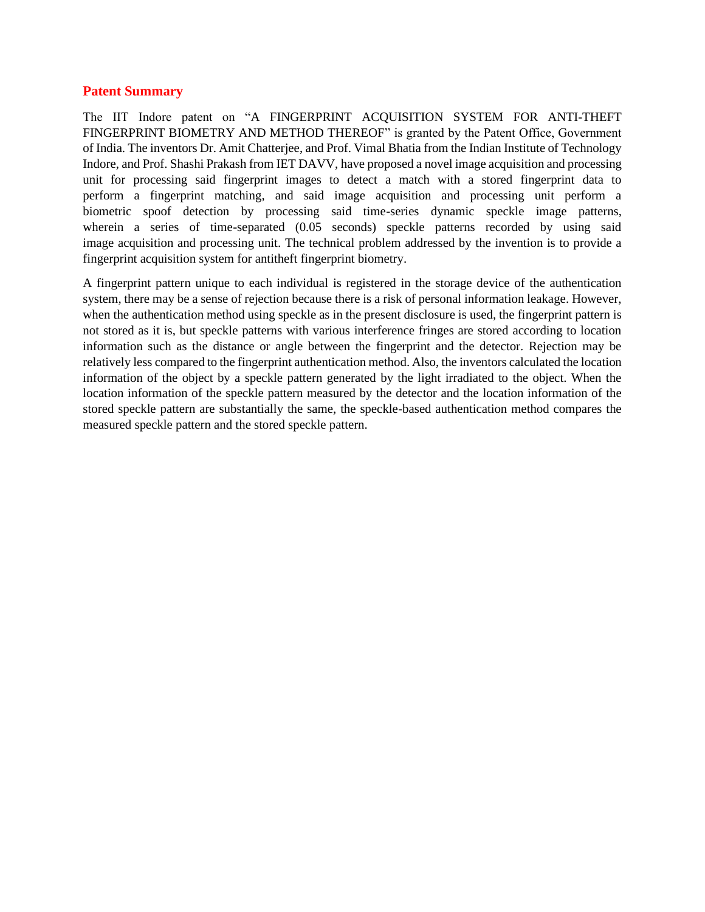## **Patent Summary**

The IIT Indore patent on "A FINGERPRINT ACQUISITION SYSTEM FOR ANTI-THEFT FINGERPRINT BIOMETRY AND METHOD THEREOF" is granted by the Patent Office, Government of India. The inventors Dr. Amit Chatterjee, and Prof. Vimal Bhatia from the Indian Institute of Technology Indore, and Prof. Shashi Prakash from IET DAVV, have proposed a novel image acquisition and processing unit for processing said fingerprint images to detect a match with a stored fingerprint data to perform a fingerprint matching, and said image acquisition and processing unit perform a biometric spoof detection by processing said time-series dynamic speckle image patterns, wherein a series of time-separated (0.05 seconds) speckle patterns recorded by using said image acquisition and processing unit. The technical problem addressed by the invention is to provide a fingerprint acquisition system for antitheft fingerprint biometry.

A fingerprint pattern unique to each individual is registered in the storage device of the authentication system, there may be a sense of rejection because there is a risk of personal information leakage. However, when the authentication method using speckle as in the present disclosure is used, the fingerprint pattern is not stored as it is, but speckle patterns with various interference fringes are stored according to location information such as the distance or angle between the fingerprint and the detector. Rejection may be relatively less compared to the fingerprint authentication method. Also, the inventors calculated the location information of the object by a speckle pattern generated by the light irradiated to the object. When the location information of the speckle pattern measured by the detector and the location information of the stored speckle pattern are substantially the same, the speckle-based authentication method compares the measured speckle pattern and the stored speckle pattern.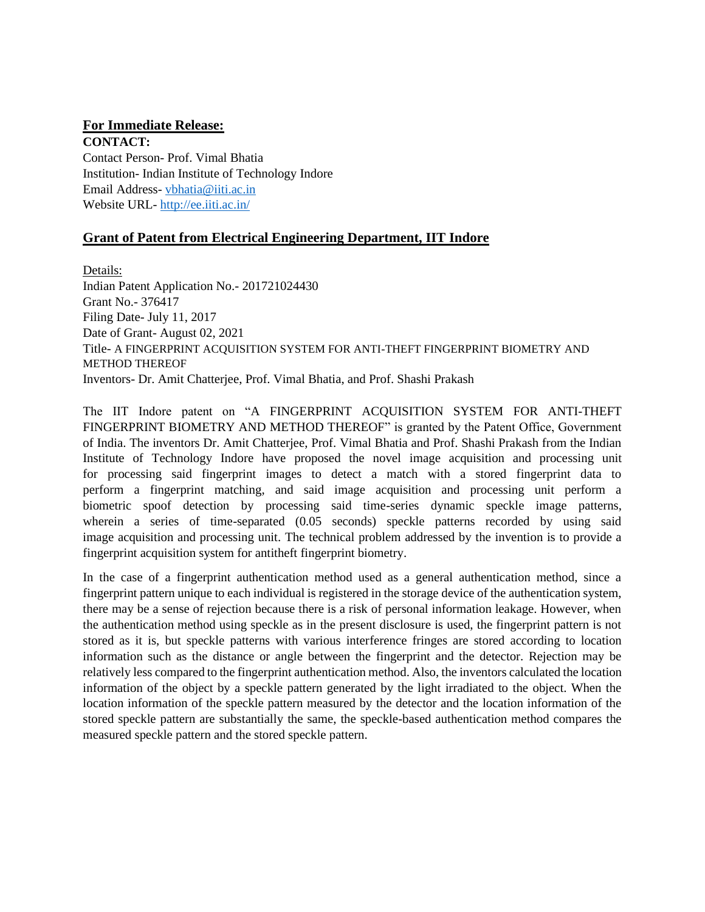## **For Immediate Release:**

**CONTACT:**  Contact Person- Prof. Vimal Bhatia Institution- Indian Institute of Technology Indore Email Address- [vbhatia@iiti.ac.in](mailto:vbhatia@iiti.ac.in) Website URL- <http://ee.iiti.ac.in/>

## **Grant of Patent from Electrical Engineering Department, IIT Indore**

Details: Indian Patent Application No.- 201721024430 Grant No.- 376417 Filing Date- July 11, 2017 Date of Grant- August 02, 2021 Title- A FINGERPRINT ACQUISITION SYSTEM FOR ANTI-THEFT FINGERPRINT BIOMETRY AND METHOD THEREOF Inventors- Dr. Amit Chatterjee, Prof. Vimal Bhatia, and Prof. Shashi Prakash

The IIT Indore patent on "A FINGERPRINT ACQUISITION SYSTEM FOR ANTI-THEFT FINGERPRINT BIOMETRY AND METHOD THEREOF" is granted by the Patent Office, Government of India. The inventors Dr. Amit Chatterjee, Prof. Vimal Bhatia and Prof. Shashi Prakash from the Indian Institute of Technology Indore have proposed the novel image acquisition and processing unit for processing said fingerprint images to detect a match with a stored fingerprint data to perform a fingerprint matching, and said image acquisition and processing unit perform a biometric spoof detection by processing said time-series dynamic speckle image patterns, wherein a series of time-separated (0.05 seconds) speckle patterns recorded by using said image acquisition and processing unit. The technical problem addressed by the invention is to provide a fingerprint acquisition system for antitheft fingerprint biometry.

In the case of a fingerprint authentication method used as a general authentication method, since a fingerprint pattern unique to each individual is registered in the storage device of the authentication system, there may be a sense of rejection because there is a risk of personal information leakage. However, when the authentication method using speckle as in the present disclosure is used, the fingerprint pattern is not stored as it is, but speckle patterns with various interference fringes are stored according to location information such as the distance or angle between the fingerprint and the detector. Rejection may be relatively less compared to the fingerprint authentication method. Also, the inventors calculated the location information of the object by a speckle pattern generated by the light irradiated to the object. When the location information of the speckle pattern measured by the detector and the location information of the stored speckle pattern are substantially the same, the speckle-based authentication method compares the measured speckle pattern and the stored speckle pattern.